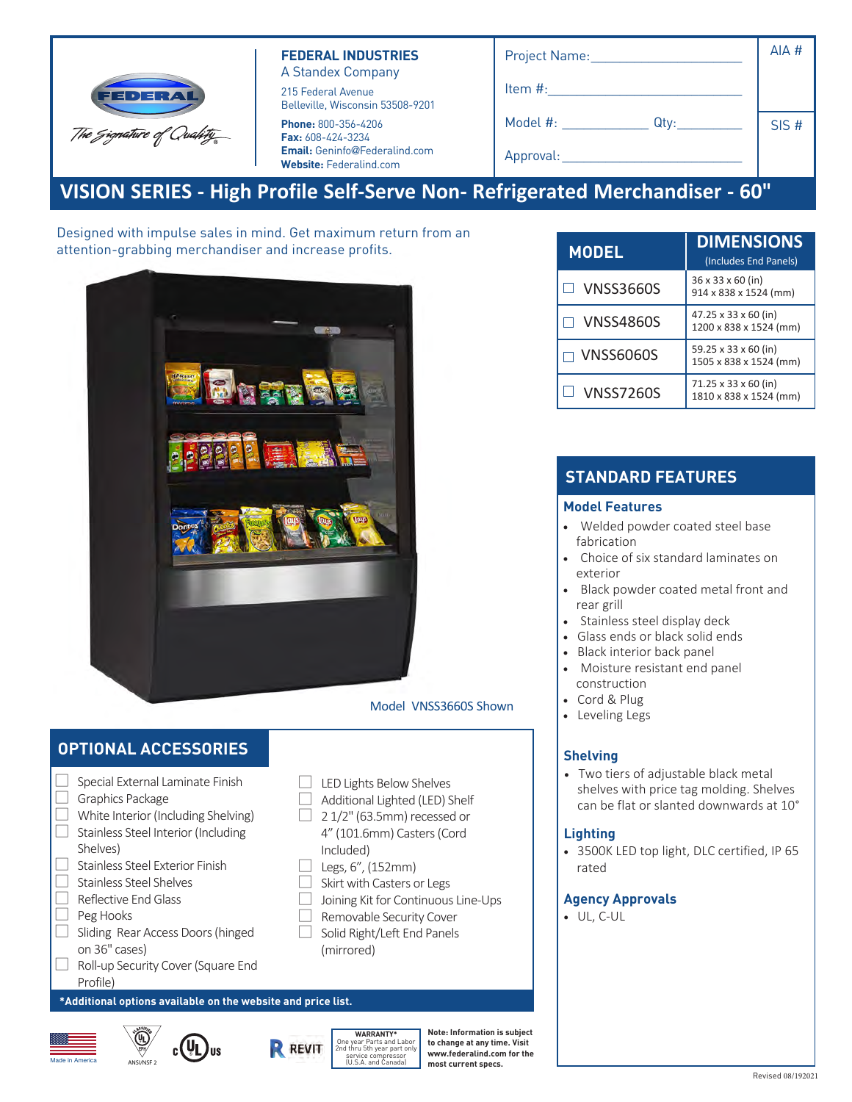

### **FEDERAL INDUSTRIES** A Standex Company

215 Federal Avenue Belleville, Wisconsin 53508-9201

**Phone:** 800-356-4206 **Fax:** 608-424-3234 **Email:** Geninfo@Federalind.com **Website:** Federalind.com

| Project Name:    | AIA # |
|------------------|-------|
| Item #:          |       |
| Model #:<br>Qty: | SIS#  |
| Approval:        |       |

# **VISION SERIES - High Profile Self-Serve Non- Refrigerated Merchandiser - 60"**

Designed with impulse sales in mind. Get maximum return from an attention-grabbing merchandiser and increase profits.



### Model VNSS3660S Shown

LED Lights Below Shelves Additional Lighted (LED) Shelf yecessed or 4" (101.6mm) Casters

Joining Kit for Continuous Line-Ups Removable Security Cover Solid Right/Left End Panels

(Cord Included) Legs, 6", (152mm) Skirt with Casters or Legs

# **OPTIONAL ACCESSORIES**

| Special External Laminate Finish                   |  |  |  |  |  |  |  |  |  |
|----------------------------------------------------|--|--|--|--|--|--|--|--|--|
| Graphics Package                                   |  |  |  |  |  |  |  |  |  |
| White Interior (Including Shelving)                |  |  |  |  |  |  |  |  |  |
| Stainless Steel Interior (Including                |  |  |  |  |  |  |  |  |  |
| Shelves)                                           |  |  |  |  |  |  |  |  |  |
| Stainless Steel Exterior Finish                    |  |  |  |  |  |  |  |  |  |
| Stainless Steel Shelves                            |  |  |  |  |  |  |  |  |  |
| Reflective End Glass                               |  |  |  |  |  |  |  |  |  |
| Peg Hooks                                          |  |  |  |  |  |  |  |  |  |
| Sliding Rear Access Doors (hinged                  |  |  |  |  |  |  |  |  |  |
| on 36" cases)                                      |  |  |  |  |  |  |  |  |  |
| Roll-up Security Cover (Square End                 |  |  |  |  |  |  |  |  |  |
| Profile)                                           |  |  |  |  |  |  |  |  |  |
| *Additional options available on the website and p |  |  |  |  |  |  |  |  |  |





| Made in America | ՜և<br>酾<br>ANSI/NSF 2 | ٦I.<br>Jus | <b>DEVIT</b> | <b>WARRANTY*</b><br>One year Parts and Labor<br>2nd thru 5th year part only<br>service compressor<br>(U.S.A. and Canada) |
|-----------------|-----------------------|------------|--------------|--------------------------------------------------------------------------------------------------------------------------|
|-----------------|-----------------------|------------|--------------|--------------------------------------------------------------------------------------------------------------------------|

(mirrored)

*<u>Tice list.</u>* 

**Note: Information is subject to change at any time. Visit www.federalind.com for the most current specs.**

| <b>MODEL</b>     | <b>DIMENSIONS</b><br>(Includes End Panels)                 |  |  |  |
|------------------|------------------------------------------------------------|--|--|--|
| <b>VNSS3660S</b> | 36 x 33 x 60 (in)<br>914 x 838 x 1524 (mm)                 |  |  |  |
| <b>VNSS4860S</b> | $47.25 \times 33 \times 60$ (in)<br>1200 x 838 x 1524 (mm) |  |  |  |
| <b>VNSS6060S</b> | 59.25 x 33 x 60 (in)<br>1505 x 838 x 1524 (mm)             |  |  |  |
| <b>VNSS7260S</b> | 71.25 x 33 x 60 (in)<br>1810 x 838 x 1524 (mm)             |  |  |  |

# **STANDARD FEATURES**

### **Model Features**

- Powder coated base frame
- Choice of six standard laminates on exterior
- Black powder coated metal front and rear grill
- Stainless steel display deck
- Tempered glass ends with choice of six standard color laminates on lower millwork panel - black Standard
- Black interior back panel
- Moisture resistant end panel construction
- Adjustable Leg Levelers
- Cord & Plug

### **Shelving**

• Four tiers of adjustable black metal shelves with price tag molding. Shelves can be flat or slanted downwards at 10°

#### **Lighting**

• 3500K LED top light

#### **Agency Approvals**

• UL, C-UL, NSF2